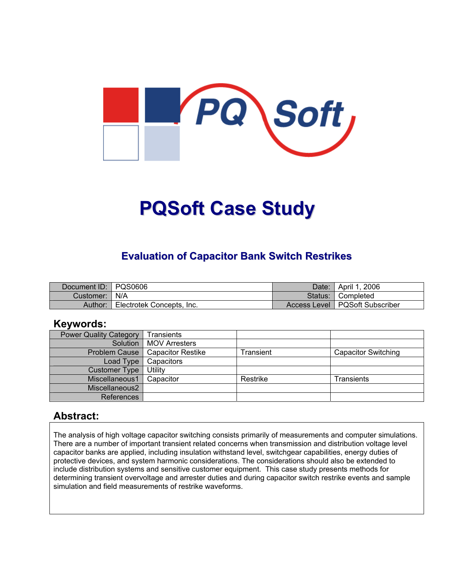

# **PQSoft Case Study**

## **Evaluation of Capacitor Bank Switch Restrikes**

| Document ID: PQS0606 |                           | Date:   | April 1, 2006                    |
|----------------------|---------------------------|---------|----------------------------------|
| Customer:   N/A      |                           | Status: | <b>। Completed</b>               |
| Author:              | Electrotek Concepts, Inc. |         | Access Level   PQSoft Subscriber |

#### **Keywords:**

| <b>Power Quality Category</b> | <b>Transients</b>        |           |                            |
|-------------------------------|--------------------------|-----------|----------------------------|
| Solution                      | MOV Arresters            |           |                            |
| <b>Problem Cause</b>          | <b>Capacitor Restike</b> | Transient | <b>Capacitor Switching</b> |
| Load Type                     | Capacitors               |           |                            |
| <b>Customer Type</b>          | Utility                  |           |                            |
| Miscellaneous1                | Capacitor                | Restrike  | Transients                 |
| Miscellaneous2                |                          |           |                            |
| References                    |                          |           |                            |

#### **Abstract:**

The analysis of high voltage capacitor switching consists primarily of measurements and computer simulations. There are a number of important transient related concerns when transmission and distribution voltage level capacitor banks are applied, including insulation withstand level, switchgear capabilities, energy duties of protective devices, and system harmonic considerations. The considerations should also be extended to include distribution systems and sensitive customer equipment. This case study presents methods for determining transient overvoltage and arrester duties and during capacitor switch restrike events and sample simulation and field measurements of restrike waveforms.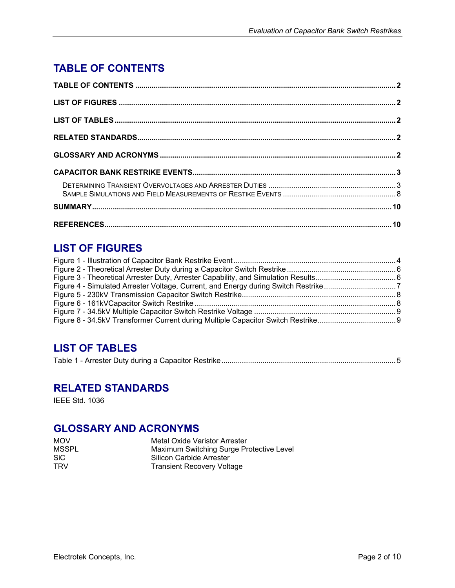# <span id="page-1-0"></span>**TABLE OF CONTENTS**

# **LIST OF FIGURES**

# **LIST OF TABLES**

|--|--|--|

## **RELATED STANDARDS**

IEEE Std. 1036

## **GLOSSARY AND ACRONYMS**

| <b>MOV</b> | Metal Oxide Varistor Arrester            |
|------------|------------------------------------------|
| MSSPL      | Maximum Switching Surge Protective Level |
| SiC.       | Silicon Carbide Arrester                 |
| <b>TRV</b> | <b>Transient Recovery Voltage</b>        |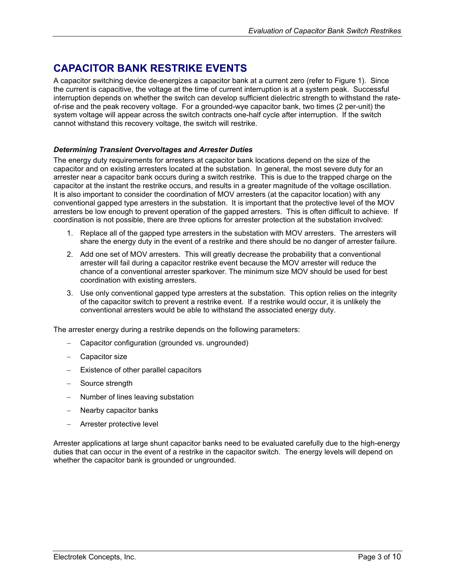## <span id="page-2-0"></span>**CAPACITOR BANK RESTRIKE EVENTS**

A capacitor switching device de-energizes a capacitor bank at a current zero (refer to [Figure 1\)](#page-3-1). Since the current is capacitive, the voltage at the time of current interruption is at a system peak. Successful interruption depends on whether the switch can develop sufficient dielectric strength to withstand the rateof-rise and the peak recovery voltage. For a grounded-wye capacitor bank, two times (2 per-unit) the system voltage will appear across the switch contracts one-half cycle after interruption. If the switch cannot withstand this recovery voltage, the switch will restrike.

#### *Determining Transient Overvoltages and Arrester Duties*

The energy duty requirements for arresters at capacitor bank locations depend on the size of the capacitor and on existing arresters located at the substation. In general, the most severe duty for an arrester near a capacitor bank occurs during a switch restrike. This is due to the trapped charge on the capacitor at the instant the restrike occurs, and results in a greater magnitude of the voltage oscillation. It is also important to consider the coordination of MOV arresters (at the capacitor location) with any conventional gapped type arresters in the substation. It is important that the protective level of the MOV arresters be low enough to prevent operation of the gapped arresters. This is often difficult to achieve. If coordination is not possible, there are three options for arrester protection at the substation involved:

- 1. Replace all of the gapped type arresters in the substation with MOV arresters. The arresters will share the energy duty in the event of a restrike and there should be no danger of arrester failure.
- 2. Add one set of MOV arresters. This will greatly decrease the probability that a conventional arrester will fail during a capacitor restrike event because the MOV arrester will reduce the chance of a conventional arrester sparkover. The minimum size MOV should be used for best coordination with existing arresters.
- 3. Use only conventional gapped type arresters at the substation. This option relies on the integrity of the capacitor switch to prevent a restrike event. If a restrike would occur, it is unlikely the conventional arresters would be able to withstand the associated energy duty.

The arrester energy during a restrike depends on the following parameters:

- − Capacitor configuration (grounded vs. ungrounded)
- − Capacitor size
- Existence of other parallel capacitors
- Source strength
- Number of lines leaving substation
- Nearby capacitor banks
- − Arrester protective level

Arrester applications at large shunt capacitor banks need to be evaluated carefully due to the high-energy duties that can occur in the event of a restrike in the capacitor switch. The energy levels will depend on whether the capacitor bank is grounded or ungrounded.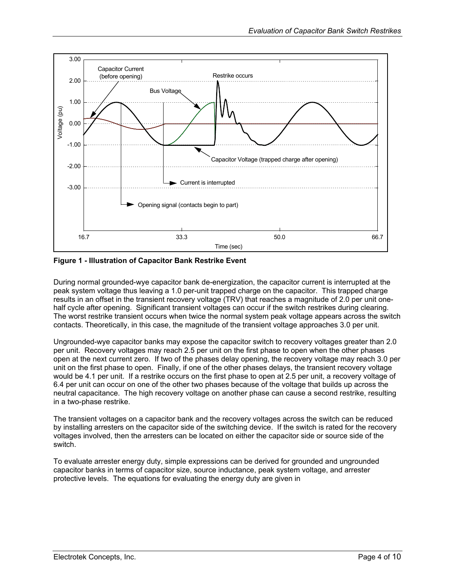<span id="page-3-1"></span><span id="page-3-0"></span>

**Figure 1 - Illustration of Capacitor Bank Restrike Event** 

During normal grounded-wye capacitor bank de-energization, the capacitor current is interrupted at the peak system voltage thus leaving a 1.0 per-unit trapped charge on the capacitor. This trapped charge results in an offset in the transient recovery voltage (TRV) that reaches a magnitude of 2.0 per unit onehalf cycle after opening. Significant transient voltages can occur if the switch restrikes during clearing. The worst restrike transient occurs when twice the normal system peak voltage appears across the switch contacts. Theoretically, in this case, the magnitude of the transient voltage approaches 3.0 per unit.

Ungrounded-wye capacitor banks may expose the capacitor switch to recovery voltages greater than 2.0 per unit. Recovery voltages may reach 2.5 per unit on the first phase to open when the other phases open at the next current zero. If two of the phases delay opening, the recovery voltage may reach 3.0 per unit on the first phase to open. Finally, if one of the other phases delays, the transient recovery voltage would be 4.1 per unit. If a restrike occurs on the first phase to open at 2.5 per unit, a recovery voltage of 6.4 per unit can occur on one of the other two phases because of the voltage that builds up across the neutral capacitance. The high recovery voltage on another phase can cause a second restrike, resulting in a two-phase restrike.

The transient voltages on a capacitor bank and the recovery voltages across the switch can be reduced by installing arresters on the capacitor side of the switching device. If the switch is rated for the recovery voltages involved, then the arresters can be located on either the capacitor side or source side of the switch.

To evaluate arrester energy duty, simple expressions can be derived for grounded and ungrounded capacitor banks in terms of capacitor size, source inductance, peak system voltage, and arrester protective levels. The equations for evaluating the energy duty are given in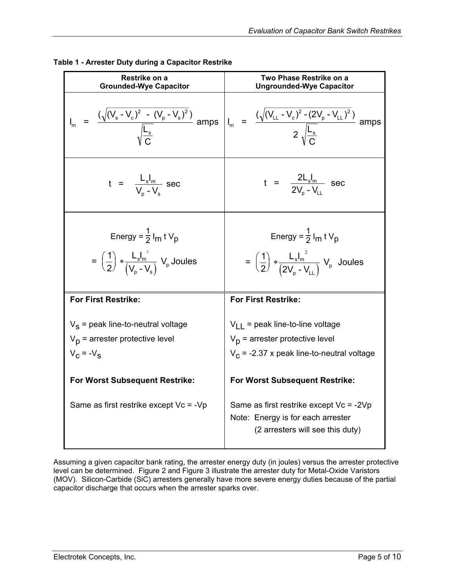| Restrike on a<br><b>Grounded-Wye Capacitor</b>                                                                                                                                          | Two Phase Restrike on a<br><b>Ungrounded-Wye Capacitor</b>                                                                                                                                                                                                                               |  |  |
|-----------------------------------------------------------------------------------------------------------------------------------------------------------------------------------------|------------------------------------------------------------------------------------------------------------------------------------------------------------------------------------------------------------------------------------------------------------------------------------------|--|--|
| $I_m = \frac{(\sqrt{(V_s - V_c)^2 - (V_p - V_s)^2})}{\sqrt{\frac{L_s}{m}}}$ amps                                                                                                        | $I_m = \frac{(\sqrt{(V_{LL} - V_c)^2 - (2V_p - V_{LL})^2})}{2 \sqrt{\frac{L_s}{c}}}$ amps                                                                                                                                                                                                |  |  |
| $t = \frac{L_s I_m}{V_a - V_s}$ sec                                                                                                                                                     | $t = \frac{2L_s I_m}{2V_a - V_a} \sec$                                                                                                                                                                                                                                                   |  |  |
| Energy = $\frac{1}{2}$ I <sub>m</sub> t V <sub>p</sub><br>$=\left(\frac{1}{2}\right)\ast\frac{\mathsf{L_s}\mathsf{I_m}}{\left(\mathsf{V_n}\cdot\mathsf{V_s}\right)}\mathsf{V_p}$ Joules | Energy = $\frac{1}{2}$ I <sub>m</sub> t V <sub>p</sub><br>= $\left(\frac{1}{2}\right) * \frac{L_s I_m^2}{(2V_n - V_{11})} V_p$ Joules                                                                                                                                                    |  |  |
| <b>For First Restrike:</b>                                                                                                                                                              | <b>For First Restrike:</b>                                                                                                                                                                                                                                                               |  |  |
| $V_S$ = peak line-to-neutral voltage<br>$V_p$ = arrester protective level<br>$V_C = -V_S$<br><b>For Worst Subsequent Restrike:</b><br>Same as first restrike except $Vc = -Vp$          | $V_{LL}$ = peak line-to-line voltage<br>$V_p$ = arrester protective level<br>$V_c$ = -2.37 x peak line-to-neutral voltage<br><b>For Worst Subsequent Restrike:</b><br>Same as first restrike except $Vc = -2Vp$<br>Note: Energy is for each arrester<br>(2 arresters will see this duty) |  |  |

<span id="page-4-0"></span>

| Table 1 - Arrester Duty during a Capacitor Restrike |  |  |
|-----------------------------------------------------|--|--|
|                                                     |  |  |

Assuming a given capacitor bank rating, the arrester energy duty (in joules) versus the arrester protective level can be determined. [Figure 2](#page-5-1) and [Figure 3 i](#page-5-2)llustrate the arrester duty for Metal-Oxide Varistors (MOV). Silicon-Carbide (SiC) arresters generally have more severe energy duties because of the partial capacitor discharge that occurs when the arrester sparks over.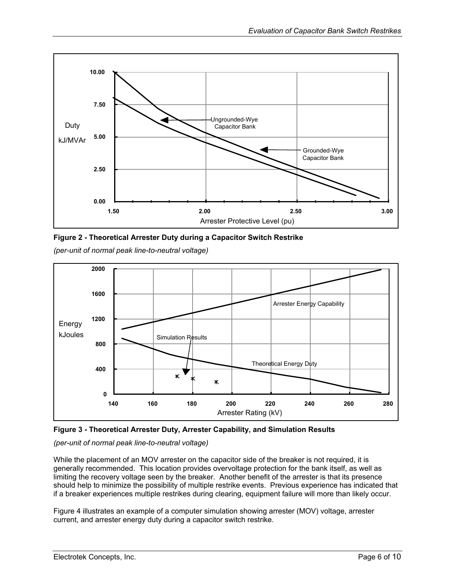<span id="page-5-1"></span><span id="page-5-0"></span>



*(per-unit of normal peak line-to-neutral voltage)* 

<span id="page-5-2"></span>



*(per-unit of normal peak line-to-neutral voltage)* 

While the placement of an MOV arrester on the capacitor side of the breaker is not required, it is generally recommended. This location provides overvoltage protection for the bank itself, as well as limiting the recovery voltage seen by the breaker. Another benefit of the arrester is that its presence should help to minimize the possibility of multiple restrike events. Previous experience has indicated that if a breaker experiences multiple restrikes during clearing, equipment failure will more than likely occur.

[Figure 4](#page-6-1) illustrates an example of a computer simulation showing arrester (MOV) voltage, arrester current, and arrester energy duty during a capacitor switch restrike.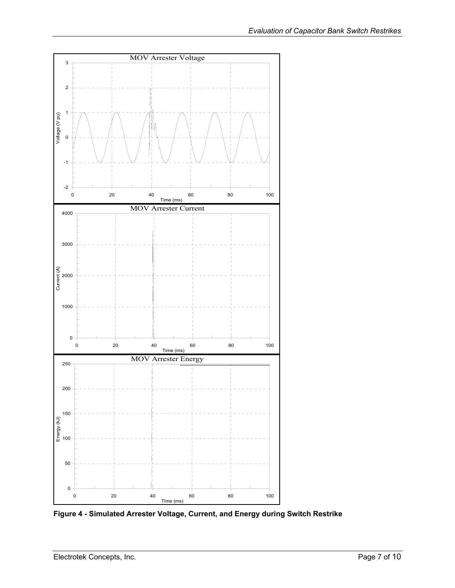<span id="page-6-0"></span>

<span id="page-6-1"></span>**Figure 4 - Simulated Arrester Voltage, Current, and Energy during Switch Restrike**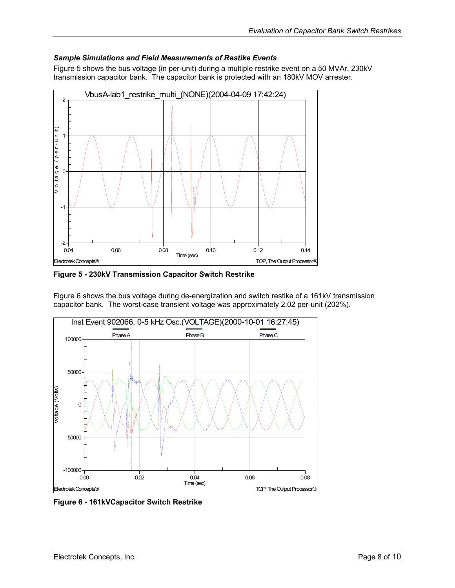#### <span id="page-7-0"></span>*Sample Simulations and Field Measurements of Restike Events*

[Figure 5](#page-7-1) shows the bus voltage (in per-unit) during a multiple restrike event on a 50 MVAr, 230kV transmission capacitor bank. The capacitor bank is protected with an 180kV MOV arrester.

<span id="page-7-1"></span>

**Figure 5 - 230kV Transmission Capacitor Switch Restrike**

[Figure 6](#page-7-2) shows the bus voltage during de-energization and switch restike of a 161kV transmission capacitor bank. The worst-case transient voltage was approximately 2.02 per-unit (202%).

<span id="page-7-2"></span>

**Figure 6 - 161kVCapacitor Switch Restrike**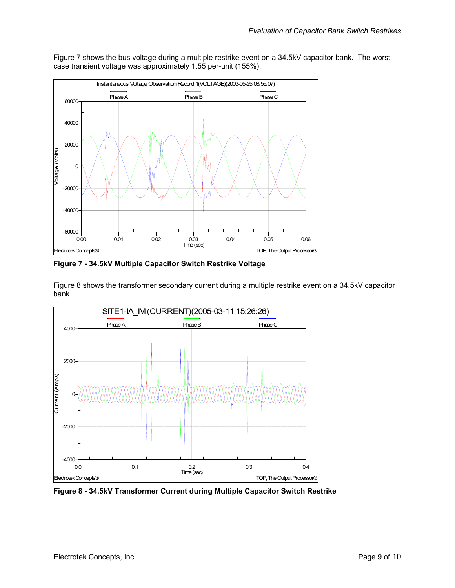<span id="page-8-1"></span>

<span id="page-8-0"></span>[Figure 7](#page-8-1) shows the bus voltage during a multiple restrike event on a 34.5kV capacitor bank. The worstcase transient voltage was approximately 1.55 per-unit (155%).

**Figure 7 - 34.5kV Multiple Capacitor Switch Restrike Voltage** 

[Figure 8](#page-8-2) shows the transformer secondary current during a multiple restrike event on a 34.5kV capacitor bank.

<span id="page-8-2"></span>

**Figure 8 - 34.5kV Transformer Current during Multiple Capacitor Switch Restrike**